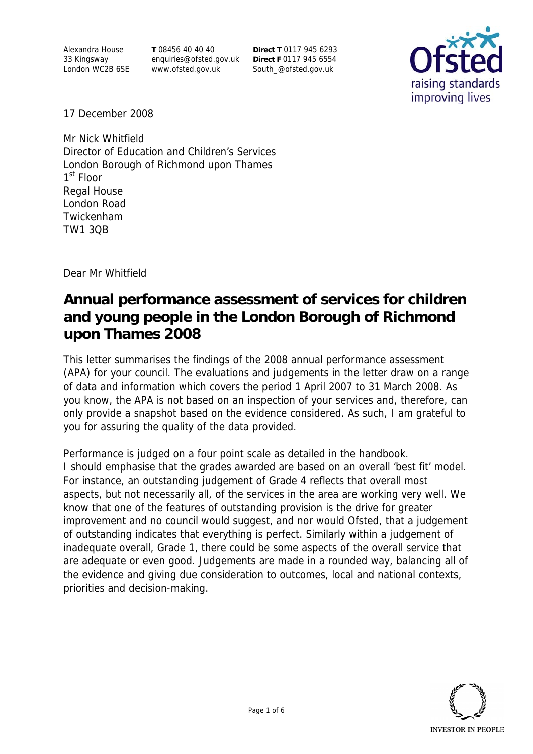Alexandra House 33 Kingsway London WC2B 6SE **T** 08456 40 40 40 enquiries@ofsted.gov.uk www.ofsted.gov.uk

**Direct T** 0117 945 6293 **Direct F** 0117 945 6554 South\_@ofsted.gov.uk



17 December 2008

Mr Nick Whitfield Director of Education and Children's Services London Borough of Richmond upon Thames 1<sup>st</sup> Floor Regal House London Road Twickenham TW1 3QB

Dear Mr Whitfield

# **Annual performance assessment of services for children and young people in the London Borough of Richmond upon Thames 2008**

This letter summarises the findings of the 2008 annual performance assessment (APA) for your council. The evaluations and judgements in the letter draw on a range of data and information which covers the period 1 April 2007 to 31 March 2008. As you know, the APA is not based on an inspection of your services and, therefore, can only provide a snapshot based on the evidence considered. As such, I am grateful to you for assuring the quality of the data provided.

Performance is judged on a four point scale as detailed in the handbook. I should emphasise that the grades awarded are based on an overall 'best fit' model. For instance, an outstanding judgement of Grade 4 reflects that overall most aspects, but not necessarily all, of the services in the area are working very well. We know that one of the features of outstanding provision is the drive for greater improvement and no council would suggest, and nor would Ofsted, that a judgement of outstanding indicates that everything is perfect. Similarly within a judgement of inadequate overall, Grade 1, there could be some aspects of the overall service that are adequate or even good. Judgements are made in a rounded way, balancing all of the evidence and giving due consideration to outcomes, local and national contexts, priorities and decision-making.

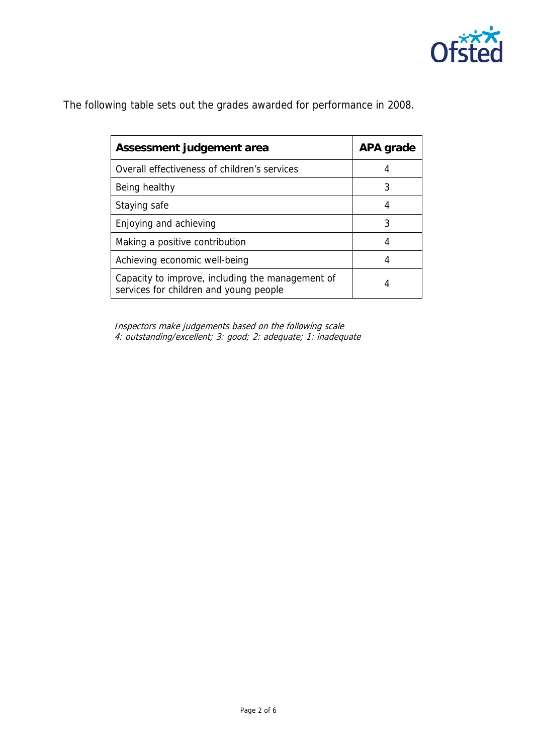

The following table sets out the grades awarded for performance in 2008.

| Assessment judgement area                                                                  | APA grade |
|--------------------------------------------------------------------------------------------|-----------|
| Overall effectiveness of children's services                                               | 4         |
| Being healthy                                                                              | 3         |
| Staying safe                                                                               | 4         |
| Enjoying and achieving                                                                     | 3         |
| Making a positive contribution                                                             | 4         |
| Achieving economic well-being                                                              | 4         |
| Capacity to improve, including the management of<br>services for children and young people | 4         |

 Inspectors make judgements based on the following scale 4: outstanding/excellent; 3: good; 2: adequate; 1: inadequate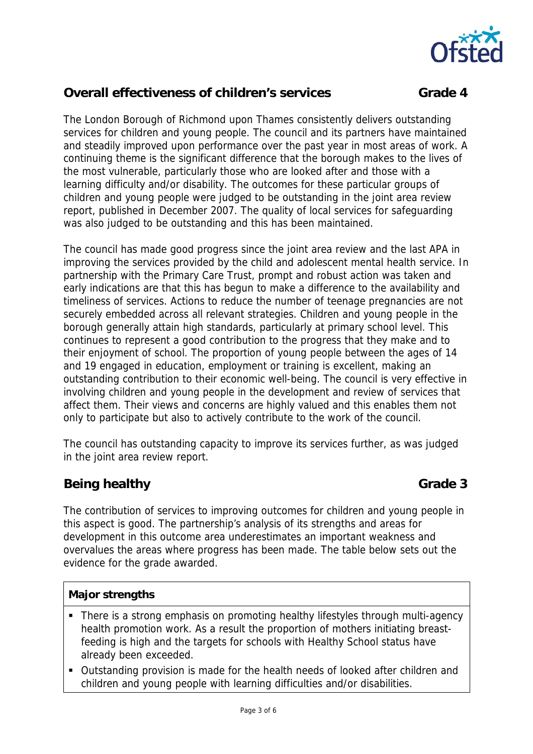

# **Overall effectiveness of children's services Crade 4 Grade 4**

The London Borough of Richmond upon Thames consistently delivers outstanding services for children and young people. The council and its partners have maintained and steadily improved upon performance over the past year in most areas of work. A continuing theme is the significant difference that the borough makes to the lives of the most vulnerable, particularly those who are looked after and those with a learning difficulty and/or disability. The outcomes for these particular groups of children and young people were judged to be outstanding in the joint area review report, published in December 2007. The quality of local services for safeguarding was also judged to be outstanding and this has been maintained.

The council has made good progress since the joint area review and the last APA in improving the services provided by the child and adolescent mental health service. In partnership with the Primary Care Trust, prompt and robust action was taken and early indications are that this has begun to make a difference to the availability and timeliness of services. Actions to reduce the number of teenage pregnancies are not securely embedded across all relevant strategies. Children and young people in the borough generally attain high standards, particularly at primary school level. This continues to represent a good contribution to the progress that they make and to their enjoyment of school. The proportion of young people between the ages of 14 and 19 engaged in education, employment or training is excellent, making an outstanding contribution to their economic well-being. The council is very effective in involving children and young people in the development and review of services that affect them. Their views and concerns are highly valued and this enables them not only to participate but also to actively contribute to the work of the council.

The council has outstanding capacity to improve its services further, as was judged in the joint area review report.

# **Being healthy Grade 3**

The contribution of services to improving outcomes for children and young people in this aspect is good. The partnership's analysis of its strengths and areas for development in this outcome area underestimates an important weakness and overvalues the areas where progress has been made. The table below sets out the evidence for the grade awarded.

### **Major strengths**

- There is a strong emphasis on promoting healthy lifestyles through multi-agency health promotion work. As a result the proportion of mothers initiating breastfeeding is high and the targets for schools with Healthy School status have already been exceeded.
- Outstanding provision is made for the health needs of looked after children and children and young people with learning difficulties and/or disabilities.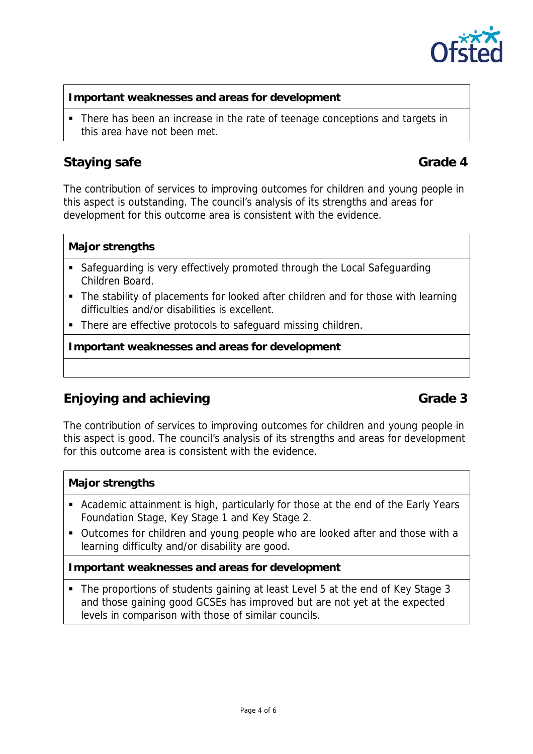

#### **Important weaknesses and areas for development**

• There has been an increase in the rate of teenage conceptions and targets in this area have not been met.

# **Staying safe** Grade 4

The contribution of services to improving outcomes for children and young people in this aspect is outstanding. The council's analysis of its strengths and areas for development for this outcome area is consistent with the evidence.

### **Major strengths**

- Safeguarding is very effectively promoted through the Local Safeguarding Children Board.
- The stability of placements for looked after children and for those with learning difficulties and/or disabilities is excellent.
- There are effective protocols to safeguard missing children.

**Important weaknesses and areas for development** 

# **Enjoying and achieving Grade 3**

The contribution of services to improving outcomes for children and young people in this aspect is good. The council's analysis of its strengths and areas for development for this outcome area is consistent with the evidence.

### **Major strengths**

- Academic attainment is high, particularly for those at the end of the Early Years Foundation Stage, Key Stage 1 and Key Stage 2.
- Outcomes for children and young people who are looked after and those with a learning difficulty and/or disability are good.

### **Important weaknesses and areas for development**

 The proportions of students gaining at least Level 5 at the end of Key Stage 3 and those gaining good GCSEs has improved but are not yet at the expected levels in comparison with those of similar councils.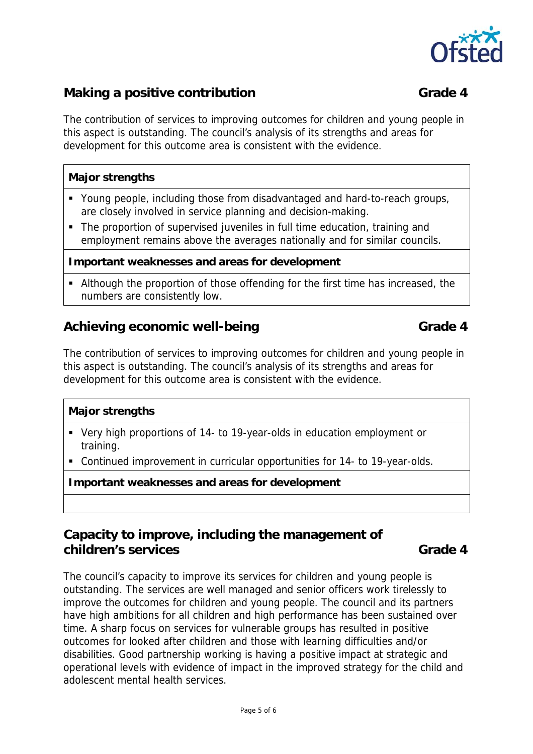

# **Making a positive contribution Grade 4**

### The contribution of services to improving outcomes for children and young people in this aspect is outstanding. The council's analysis of its strengths and areas for development for this outcome area is consistent with the evidence.

### **Major strengths**

- Young people, including those from disadvantaged and hard-to-reach groups, are closely involved in service planning and decision-making.
- The proportion of supervised juveniles in full time education, training and employment remains above the averages nationally and for similar councils.

#### **Important weaknesses and areas for development**

 Although the proportion of those offending for the first time has increased, the numbers are consistently low.

## Achieving economic well-being Grade 4

The contribution of services to improving outcomes for children and young people in this aspect is outstanding. The council's analysis of its strengths and areas for development for this outcome area is consistent with the evidence.

#### **Major strengths**

- Very high proportions of 14- to 19-year-olds in education employment or training.
- Continued improvement in curricular opportunities for 14- to 19-year-olds.

**Important weaknesses and areas for development**

## **Capacity to improve, including the management of children's services** Grade 4

The council's capacity to improve its services for children and young people is outstanding. The services are well managed and senior officers work tirelessly to improve the outcomes for children and young people. The council and its partners have high ambitions for all children and high performance has been sustained over time. A sharp focus on services for vulnerable groups has resulted in positive outcomes for looked after children and those with learning difficulties and/or disabilities. Good partnership working is having a positive impact at strategic and operational levels with evidence of impact in the improved strategy for the child and adolescent mental health services.